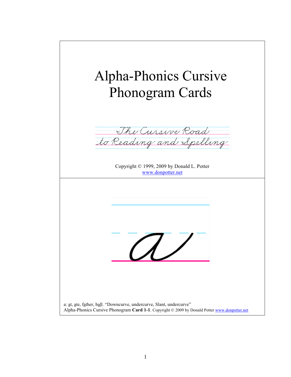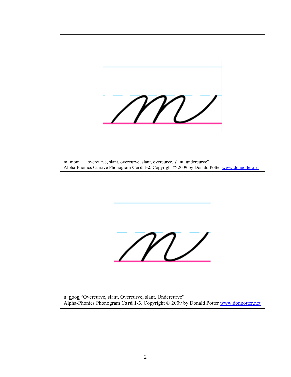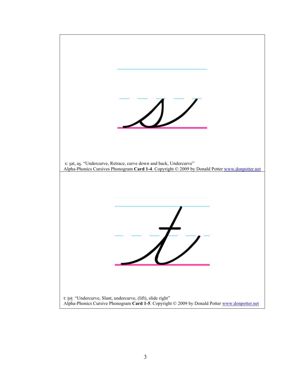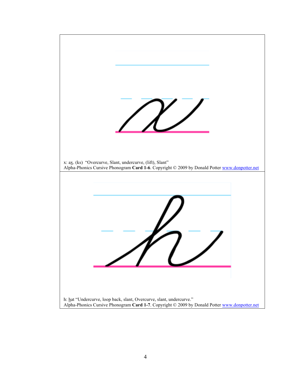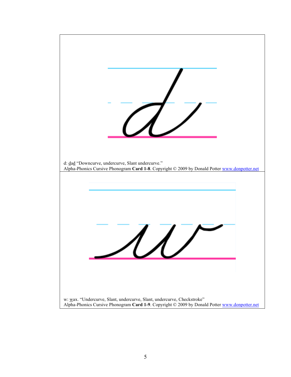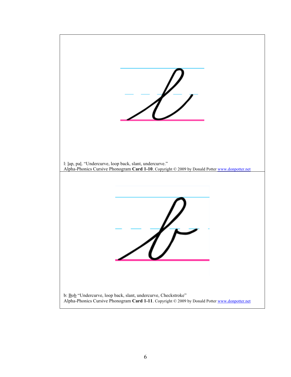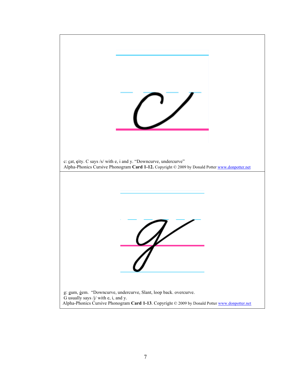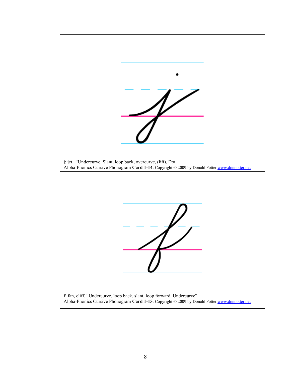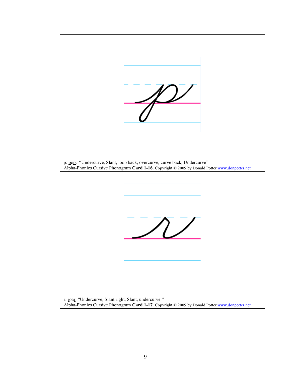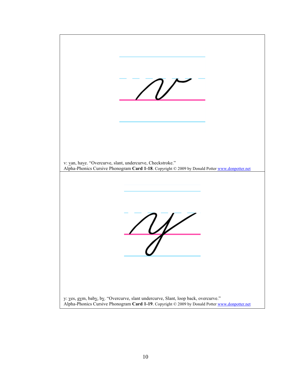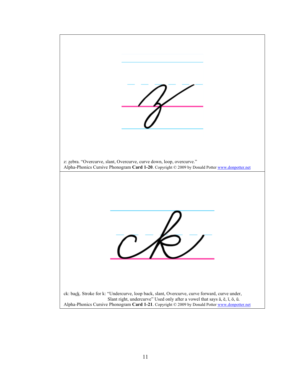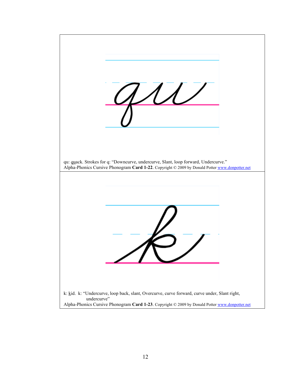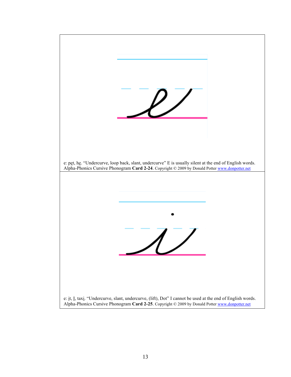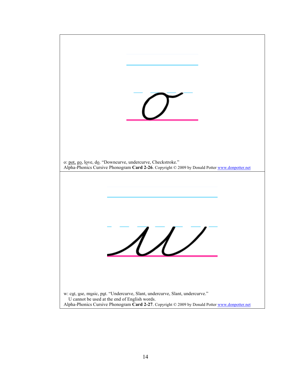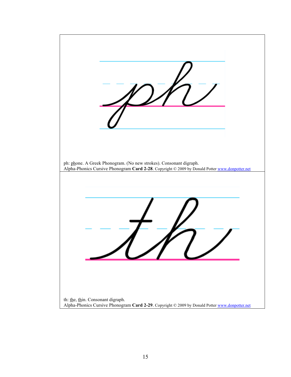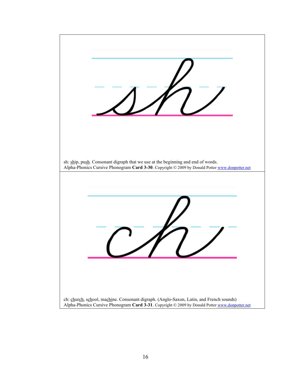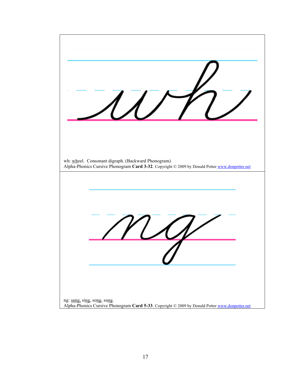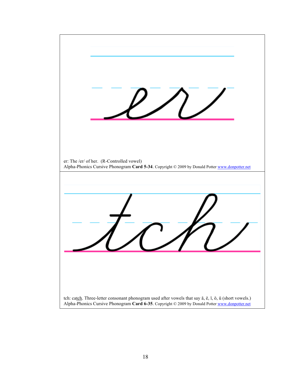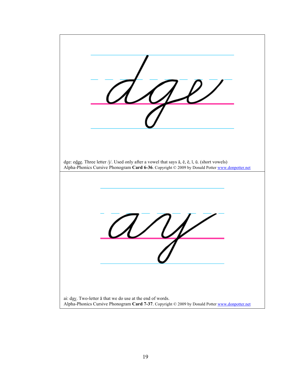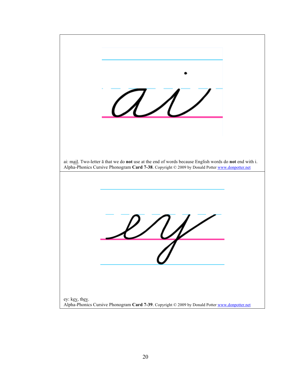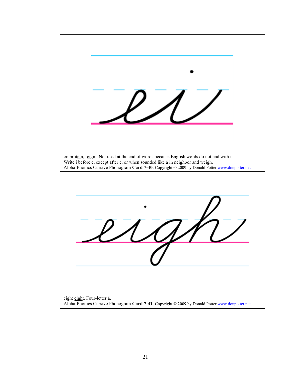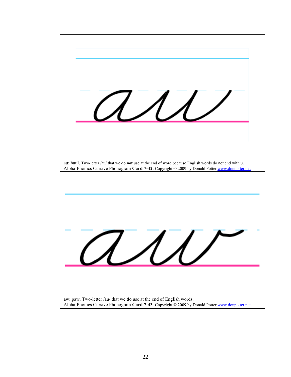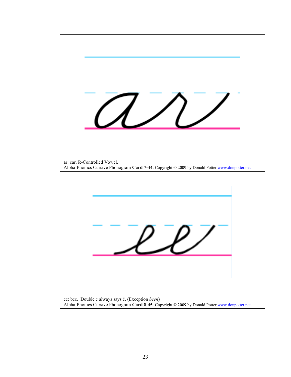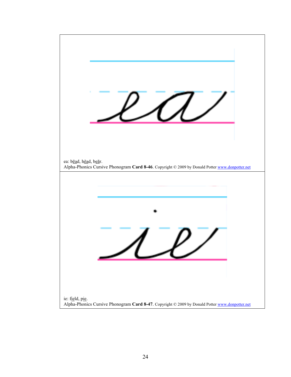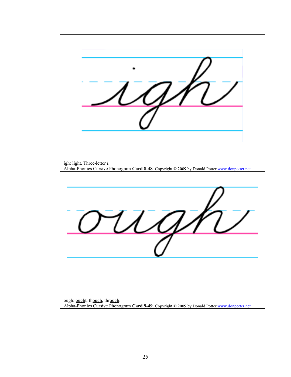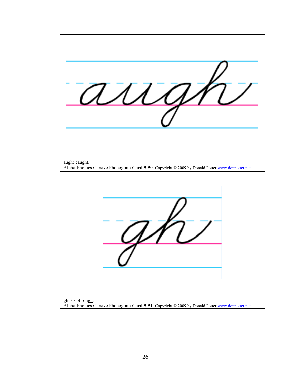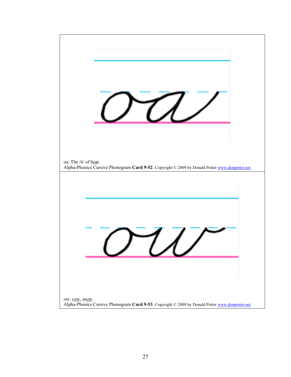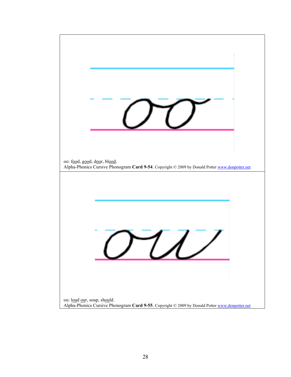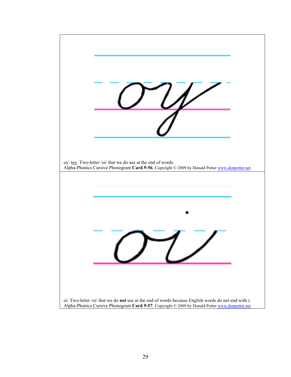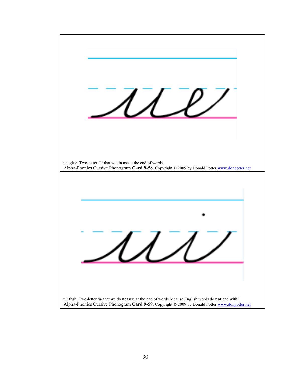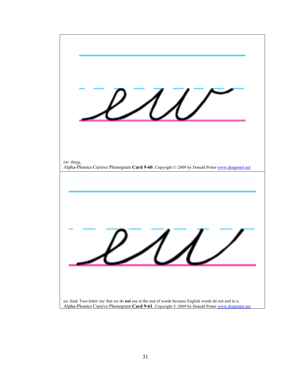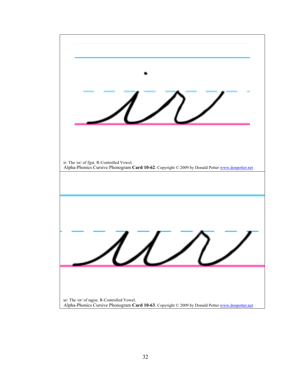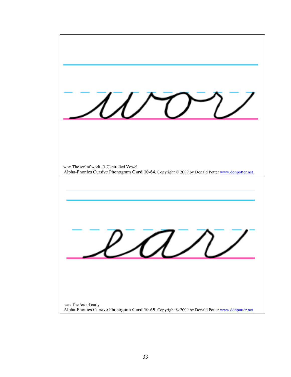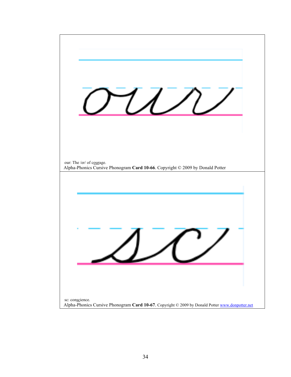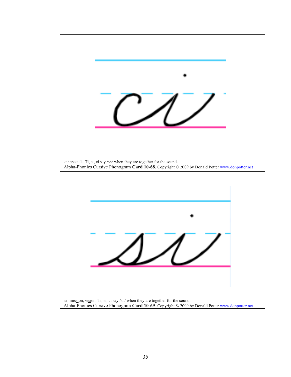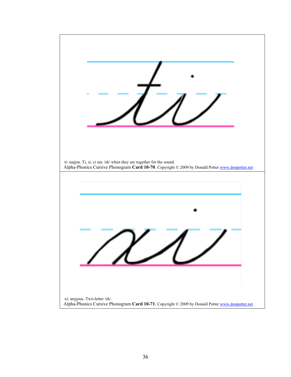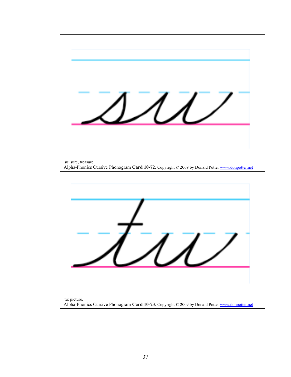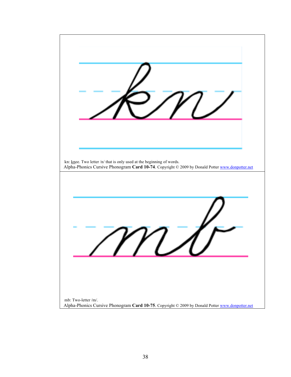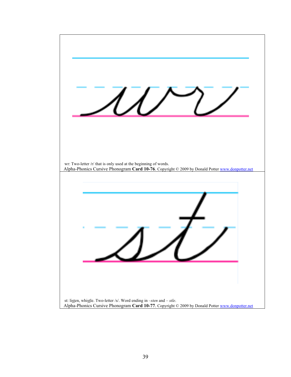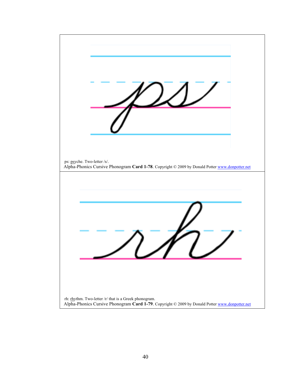